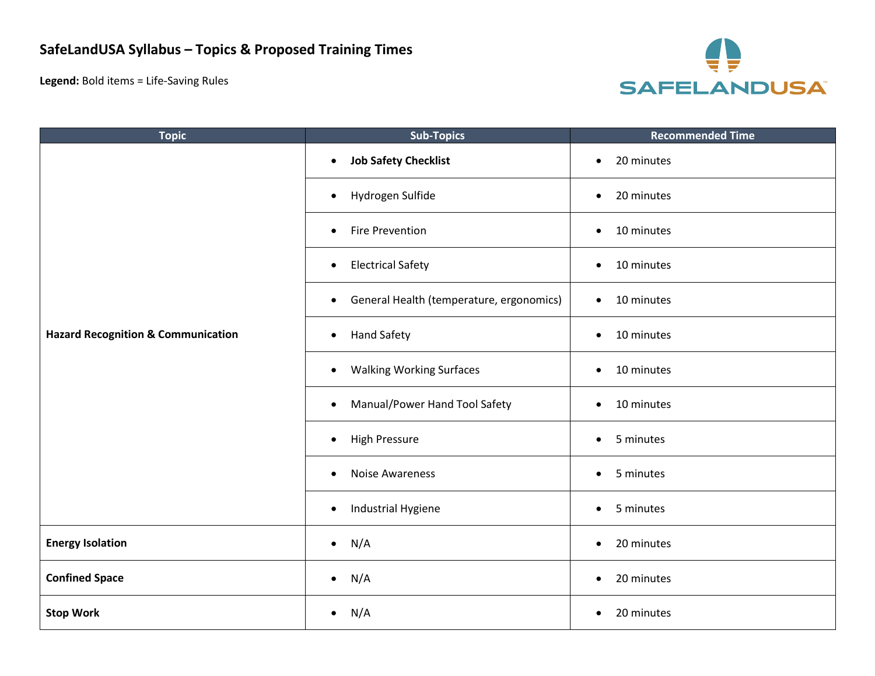**Legend:** Bold items = Life-Saving Rules



| <b>Topic</b>                                  | <b>Sub-Topics</b>                                     | <b>Recommended Time</b> |
|-----------------------------------------------|-------------------------------------------------------|-------------------------|
| <b>Hazard Recognition &amp; Communication</b> | <b>Job Safety Checklist</b><br>$\bullet$              | 20 minutes<br>$\bullet$ |
|                                               | Hydrogen Sulfide<br>$\bullet$                         | 20 minutes<br>$\bullet$ |
|                                               | <b>Fire Prevention</b><br>$\bullet$                   | 10 minutes<br>$\bullet$ |
|                                               | <b>Electrical Safety</b><br>$\bullet$                 | 10 minutes<br>$\bullet$ |
|                                               | General Health (temperature, ergonomics)<br>$\bullet$ | 10 minutes<br>$\bullet$ |
|                                               | <b>Hand Safety</b><br>$\bullet$                       | 10 minutes<br>$\bullet$ |
|                                               | <b>Walking Working Surfaces</b><br>$\bullet$          | 10 minutes<br>$\bullet$ |
|                                               | Manual/Power Hand Tool Safety<br>$\bullet$            | 10 minutes<br>$\bullet$ |
|                                               | <b>High Pressure</b><br>$\bullet$                     | 5 minutes<br>$\bullet$  |
|                                               | <b>Noise Awareness</b><br>$\bullet$                   | 5 minutes<br>$\bullet$  |
|                                               | Industrial Hygiene<br>$\bullet$                       | 5 minutes<br>$\bullet$  |
| <b>Energy Isolation</b>                       | N/A<br>$\bullet$                                      | 20 minutes<br>$\bullet$ |
| <b>Confined Space</b>                         | N/A<br>$\bullet$                                      | 20 minutes<br>$\bullet$ |
| <b>Stop Work</b>                              | N/A<br>$\bullet$                                      | 20 minutes<br>$\bullet$ |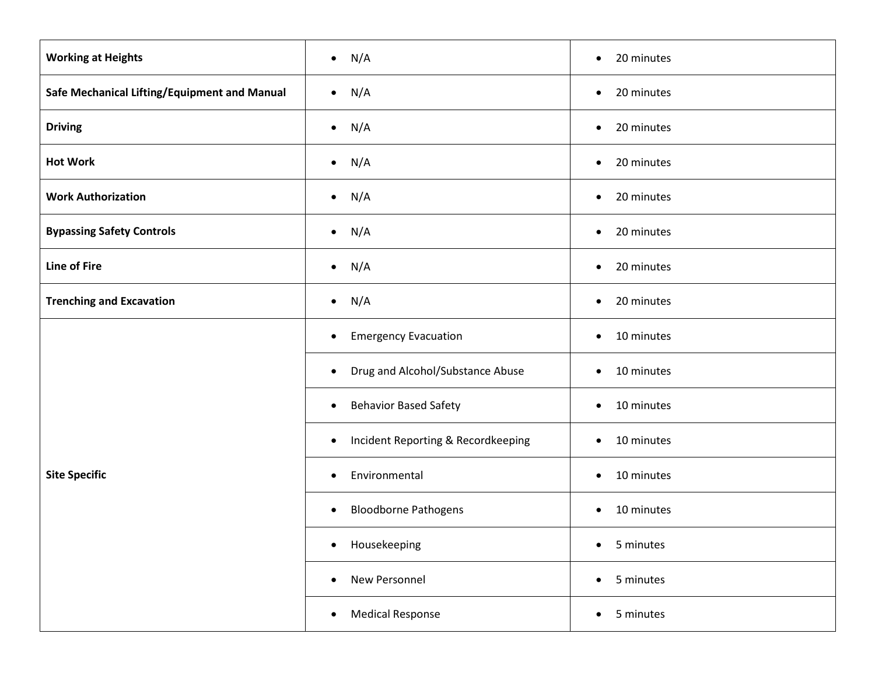| <b>Working at Heights</b>                    | N/A<br>$\bullet$                                | 20 minutes<br>$\bullet$ |
|----------------------------------------------|-------------------------------------------------|-------------------------|
| Safe Mechanical Lifting/Equipment and Manual | N/A<br>$\bullet$                                | 20 minutes<br>$\bullet$ |
| <b>Driving</b>                               | N/A<br>$\bullet$                                | 20 minutes<br>$\bullet$ |
| <b>Hot Work</b>                              | N/A<br>$\bullet$                                | 20 minutes<br>$\bullet$ |
| <b>Work Authorization</b>                    | N/A<br>$\bullet$                                | 20 minutes<br>$\bullet$ |
| <b>Bypassing Safety Controls</b>             | N/A<br>$\bullet$                                | 20 minutes<br>$\bullet$ |
| <b>Line of Fire</b>                          | N/A<br>$\bullet$                                | 20 minutes<br>$\bullet$ |
| <b>Trenching and Excavation</b>              | N/A<br>$\bullet$                                | 20 minutes<br>$\bullet$ |
| <b>Site Specific</b>                         | <b>Emergency Evacuation</b><br>$\bullet$        | 10 minutes<br>$\bullet$ |
|                                              | Drug and Alcohol/Substance Abuse<br>$\bullet$   | 10 minutes<br>$\bullet$ |
|                                              | <b>Behavior Based Safety</b><br>$\bullet$       | 10 minutes<br>$\bullet$ |
|                                              | Incident Reporting & Recordkeeping<br>$\bullet$ | 10 minutes<br>$\bullet$ |
|                                              | Environmental<br>$\bullet$                      | 10 minutes<br>$\bullet$ |
|                                              | <b>Bloodborne Pathogens</b><br>$\bullet$        | 10 minutes<br>$\bullet$ |
|                                              | Housekeeping<br>$\bullet$                       | 5 minutes<br>$\bullet$  |
|                                              | New Personnel<br>$\bullet$                      | 5 minutes<br>$\bullet$  |
|                                              | <b>Medical Response</b><br>$\bullet$            | 5 minutes<br>$\bullet$  |